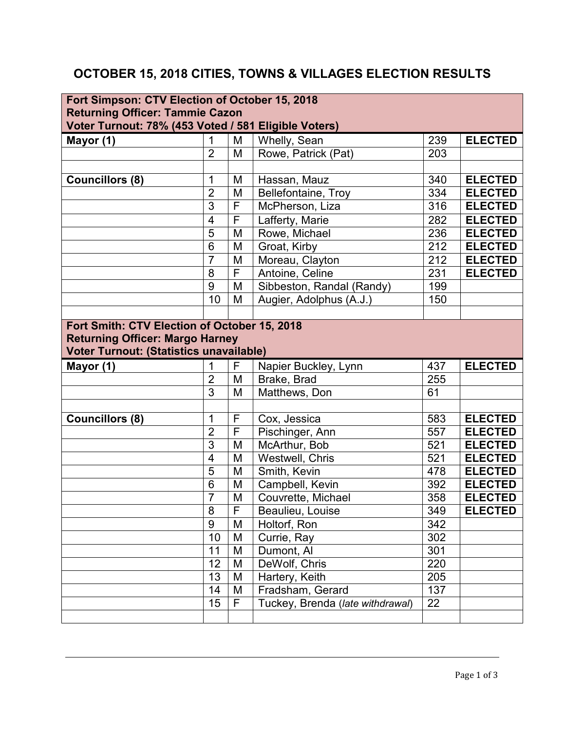## **OCTOBER 15, 2018 CITIES, TOWNS & VILLAGES ELECTION RESULTS**

| Fort Simpson: CTV Election of October 15, 2018                                                 |                         |   |                                  |                  |                |  |  |
|------------------------------------------------------------------------------------------------|-------------------------|---|----------------------------------|------------------|----------------|--|--|
| <b>Returning Officer: Tammie Cazon</b><br>Voter Turnout: 78% (453 Voted / 581 Eligible Voters) |                         |   |                                  |                  |                |  |  |
| Mayor (1)                                                                                      | 1                       | M | Whelly, Sean                     | 239              | <b>ELECTED</b> |  |  |
|                                                                                                | $\overline{2}$          | M | Rowe, Patrick (Pat)              | 203              |                |  |  |
|                                                                                                |                         |   |                                  |                  |                |  |  |
| Councillors (8)                                                                                | 1                       | M | Hassan, Mauz                     | 340              | <b>ELECTED</b> |  |  |
|                                                                                                | $\overline{2}$          | M | Bellefontaine, Troy              | 334              | <b>ELECTED</b> |  |  |
|                                                                                                | 3                       | F | McPherson, Liza                  | 316              | <b>ELECTED</b> |  |  |
|                                                                                                | $\overline{\mathbf{4}}$ | F | Lafferty, Marie                  | 282              | <b>ELECTED</b> |  |  |
|                                                                                                | $\overline{5}$          | M | Rowe, Michael                    | 236              | <b>ELECTED</b> |  |  |
|                                                                                                | 6                       | M | Groat, Kirby                     | 212              | <b>ELECTED</b> |  |  |
|                                                                                                | $\overline{7}$          | M | Moreau, Clayton                  | 212              | <b>ELECTED</b> |  |  |
|                                                                                                | 8                       | F | Antoine, Celine                  | 231              | <b>ELECTED</b> |  |  |
|                                                                                                | 9                       | M | Sibbeston, Randal (Randy)        | 199              |                |  |  |
|                                                                                                | 10                      | M | Augier, Adolphus (A.J.)          | 150              |                |  |  |
|                                                                                                |                         |   |                                  |                  |                |  |  |
| Fort Smith: CTV Election of October 15, 2018                                                   |                         |   |                                  |                  |                |  |  |
| <b>Returning Officer: Margo Harney</b>                                                         |                         |   |                                  |                  |                |  |  |
| Voter Turnout: (Statistics unavailable)                                                        |                         |   |                                  |                  |                |  |  |
|                                                                                                |                         |   |                                  |                  |                |  |  |
| Mayor (1)                                                                                      | 1                       | F | Napier Buckley, Lynn             | 437              | <b>ELECTED</b> |  |  |
|                                                                                                | $\overline{2}$          | M | Brake, Brad                      | 255              |                |  |  |
|                                                                                                | 3                       | M | Matthews, Don                    | 61               |                |  |  |
|                                                                                                |                         |   |                                  |                  |                |  |  |
| <b>Councillors (8)</b>                                                                         | 1                       | F | Cox, Jessica                     | 583              | <b>ELECTED</b> |  |  |
|                                                                                                | $\overline{2}$          | F | Pischinger, Ann                  | 557              | <b>ELECTED</b> |  |  |
|                                                                                                | $\overline{3}$          | M | McArthur, Bob                    | 521              | <b>ELECTED</b> |  |  |
|                                                                                                | $\overline{\mathbf{4}}$ | M | Westwell, Chris                  | 521              | <b>ELECTED</b> |  |  |
|                                                                                                | 5                       | M | Smith, Kevin                     | 478              | <b>ELECTED</b> |  |  |
|                                                                                                | 6                       | M | Campbell, Kevin                  | 392              | <b>ELECTED</b> |  |  |
|                                                                                                | $\overline{7}$          | M | Couvrette, Michael               | 358              | <b>ELECTED</b> |  |  |
|                                                                                                | 8                       | F | Beaulieu, Louise                 | 349              | <b>ELECTED</b> |  |  |
|                                                                                                | 9                       | M | Holtorf, Ron                     | 342              |                |  |  |
|                                                                                                | 10                      | M | Currie, Ray                      | $\overline{302}$ |                |  |  |
|                                                                                                | 11                      | M | Dumont, Al                       | 301              |                |  |  |
|                                                                                                | 12                      | M | DeWolf, Chris                    | 220              |                |  |  |
|                                                                                                | 13                      | M | Hartery, Keith                   | 205              |                |  |  |
|                                                                                                | 14                      | M | Fradsham, Gerard                 | 137              |                |  |  |
|                                                                                                | 15                      | F | Tuckey, Brenda (late withdrawal) | 22               |                |  |  |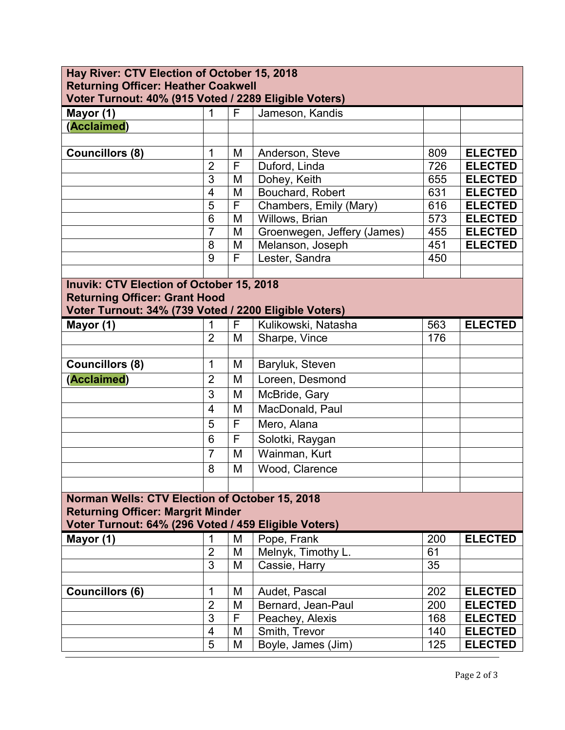| Hay River: CTV Election of October 15, 2018                                                         |                         |   |                             |     |                |  |  |
|-----------------------------------------------------------------------------------------------------|-------------------------|---|-----------------------------|-----|----------------|--|--|
| <b>Returning Officer: Heather Coakwell</b><br>Voter Turnout: 40% (915 Voted / 2289 Eligible Voters) |                         |   |                             |     |                |  |  |
|                                                                                                     | 1                       | F | Jameson, Kandis             |     |                |  |  |
| Mayor (1)<br>(Acclaimed)                                                                            |                         |   |                             |     |                |  |  |
|                                                                                                     |                         |   |                             |     |                |  |  |
| <b>Councillors (8)</b>                                                                              | 1                       | M | Anderson, Steve             | 809 | <b>ELECTED</b> |  |  |
|                                                                                                     | $\overline{2}$          | F | Duford, Linda               | 726 | <b>ELECTED</b> |  |  |
|                                                                                                     | 3                       | M | Dohey, Keith                | 655 | <b>ELECTED</b> |  |  |
|                                                                                                     | $\overline{\mathbf{4}}$ | M | Bouchard, Robert            | 631 | <b>ELECTED</b> |  |  |
|                                                                                                     | 5                       | F | Chambers, Emily (Mary)      | 616 | <b>ELECTED</b> |  |  |
|                                                                                                     | 6                       | M | Willows, Brian              | 573 | <b>ELECTED</b> |  |  |
|                                                                                                     | $\overline{7}$          | M | Groenwegen, Jeffery (James) | 455 | <b>ELECTED</b> |  |  |
|                                                                                                     | 8                       | M | Melanson, Joseph            | 451 | <b>ELECTED</b> |  |  |
|                                                                                                     | 9                       | F | Lester, Sandra              | 450 |                |  |  |
|                                                                                                     |                         |   |                             |     |                |  |  |
| <b>Inuvik: CTV Election of October 15, 2018</b>                                                     |                         |   |                             |     |                |  |  |
| <b>Returning Officer: Grant Hood</b>                                                                |                         |   |                             |     |                |  |  |
| Voter Turnout: 34% (739 Voted / 2200 Eligible Voters)                                               |                         |   |                             |     |                |  |  |
| Mayor (1)                                                                                           | 1                       | F | Kulikowski, Natasha         | 563 | <b>ELECTED</b> |  |  |
|                                                                                                     | $\overline{2}$          | M | Sharpe, Vince               | 176 |                |  |  |
|                                                                                                     |                         |   |                             |     |                |  |  |
| <b>Councillors (8)</b>                                                                              | 1                       | M | Baryluk, Steven             |     |                |  |  |
| (Acclaimed)                                                                                         | $\overline{2}$          | M | Loreen, Desmond             |     |                |  |  |
|                                                                                                     | 3                       | M | McBride, Gary               |     |                |  |  |
|                                                                                                     | 4                       | M | MacDonald, Paul             |     |                |  |  |
|                                                                                                     | 5                       | F | Mero, Alana                 |     |                |  |  |
|                                                                                                     | 6                       | F | Solotki, Raygan             |     |                |  |  |
|                                                                                                     | $\overline{7}$          | M | Wainman, Kurt               |     |                |  |  |
|                                                                                                     | 8                       | M | Wood, Clarence              |     |                |  |  |
|                                                                                                     |                         |   |                             |     |                |  |  |
| Norman Wells: CTV Election of October 15, 2018                                                      |                         |   |                             |     |                |  |  |
| <b>Returning Officer: Margrit Minder</b>                                                            |                         |   |                             |     |                |  |  |
| Voter Turnout: 64% (296 Voted / 459 Eligible Voters)                                                |                         |   |                             |     |                |  |  |
| Mayor (1)                                                                                           | $\mathbf 1$             | M | Pope, Frank                 | 200 | <b>ELECTED</b> |  |  |
|                                                                                                     | $\overline{2}$          | M | Melnyk, Timothy L.          | 61  |                |  |  |
|                                                                                                     | 3                       | M | Cassie, Harry               | 35  |                |  |  |
|                                                                                                     |                         |   |                             |     |                |  |  |
| <b>Councillors (6)</b>                                                                              | 1                       | M | Audet, Pascal               | 202 | <b>ELECTED</b> |  |  |
|                                                                                                     | $\overline{2}$          | M | Bernard, Jean-Paul          | 200 | <b>ELECTED</b> |  |  |
|                                                                                                     | 3                       | F | Peachey, Alexis             | 168 | <b>ELECTED</b> |  |  |
|                                                                                                     | $\overline{\mathbf{4}}$ | M | Smith, Trevor               | 140 | <b>ELECTED</b> |  |  |
|                                                                                                     | 5                       | M | Boyle, James (Jim)          | 125 | <b>ELECTED</b> |  |  |